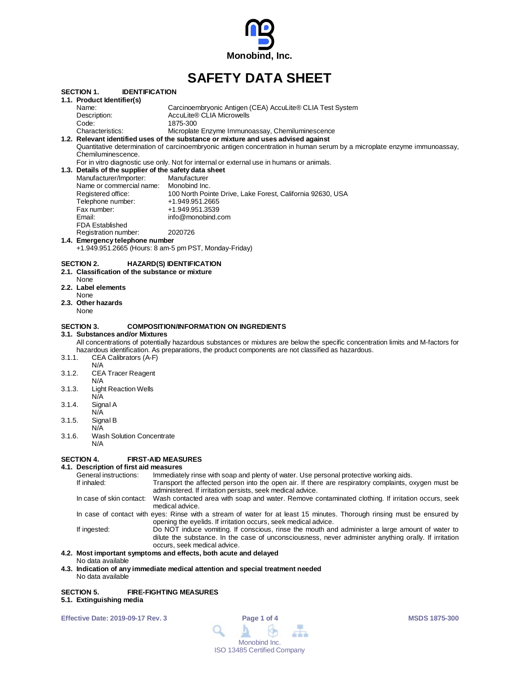

# **SAFETY DATA SHEET**

| SECTION 1.        | <b>IDENTIFICATION</b>                                 |                                                                                                                                  |
|-------------------|-------------------------------------------------------|----------------------------------------------------------------------------------------------------------------------------------|
|                   | 1.1. Product Identifier(s)                            |                                                                                                                                  |
| Name:             |                                                       | Carcinoembryonic Antigen (CEA) AccuLite® CLIA Test System                                                                        |
|                   | Description:                                          | AccuLite® CLIA Microwells                                                                                                        |
| Code:             |                                                       | 1875-300                                                                                                                         |
|                   | Characteristics:                                      | Microplate Enzyme Immunoassay, Chemiluminescence                                                                                 |
|                   |                                                       | 1.2. Relevant identified uses of the substance or mixture and uses advised against                                               |
|                   |                                                       | Quantitative determination of carcinoembryonic antigen concentration in human serum by a microplate enzyme immunoassay,          |
|                   | Chemiluminescence.                                    |                                                                                                                                  |
|                   |                                                       | For in vitro diagnostic use only. Not for internal or external use in humans or animals.                                         |
|                   | 1.3. Details of the supplier of the safety data sheet |                                                                                                                                  |
|                   | Manufacturer/Importer:                                | Manufacturer                                                                                                                     |
|                   | Name or commercial name: Monobind Inc.                |                                                                                                                                  |
|                   | Registered office:                                    | 100 North Pointe Drive, Lake Forest, California 92630, USA                                                                       |
|                   | Telephone number:                                     | +1.949.951.2665                                                                                                                  |
|                   | Fax number:                                           | +1.949.951.3539                                                                                                                  |
| Email:            |                                                       | info@monobind.com                                                                                                                |
|                   | <b>FDA Established</b>                                |                                                                                                                                  |
|                   | Registration number:                                  | 2020726                                                                                                                          |
|                   | 1.4. Emergency telephone number                       |                                                                                                                                  |
|                   |                                                       | +1.949.951.2665 (Hours: 8 am-5 pm PST, Monday-Friday)                                                                            |
| SECTION 2.        |                                                       | <b>HAZARD(S) IDENTIFICATION</b>                                                                                                  |
|                   | 2.1. Classification of the substance or mixture       |                                                                                                                                  |
| None              |                                                       |                                                                                                                                  |
|                   | 2.2. Label elements                                   |                                                                                                                                  |
| None              |                                                       |                                                                                                                                  |
|                   | 2.3. Other hazards                                    |                                                                                                                                  |
| None              |                                                       |                                                                                                                                  |
|                   |                                                       |                                                                                                                                  |
| <b>SECTION 3.</b> |                                                       | <b>COMPOSITION/INFORMATION ON INGREDIENTS</b>                                                                                    |
|                   | 3.1.  Substances and/or Mixtures                      |                                                                                                                                  |
|                   |                                                       | All concentrations of potentially hazardous substances or mixtures are below the specific concentration limits and M-factors for |
|                   |                                                       | hazardous identification. As preparations, the product components are not classified as hazardous.                               |
| 3.1.1.            | CEA Calibrators (A-F)                                 |                                                                                                                                  |
|                   | N/A                                                   |                                                                                                                                  |
| 3.1.2.            | <b>CEA Tracer Reagent</b>                             |                                                                                                                                  |
|                   | N/A                                                   |                                                                                                                                  |
| 3.1.3.            | <b>Light Reaction Wells</b>                           |                                                                                                                                  |
|                   | N/A                                                   |                                                                                                                                  |
| 3.1.4.            | Signal A                                              |                                                                                                                                  |
|                   | N/A                                                   |                                                                                                                                  |
| 3.1.5.            | Signal B                                              |                                                                                                                                  |
|                   | N/A                                                   |                                                                                                                                  |
| 3.1.6.            | <b>Wash Solution Concentrate</b>                      |                                                                                                                                  |
|                   | N/A                                                   |                                                                                                                                  |
|                   |                                                       |                                                                                                                                  |
| SECTION 4.        | <b>FIRST-AID MEASURES</b>                             |                                                                                                                                  |
|                   | 4.1. Description of first aid measures                |                                                                                                                                  |

#### General instructions: Immediately rinse with soap and plenty of water. Use personal protective working aids.<br>If inhaled: Transport the affected person into the open air. If there are respiratory complaints, o Transport the affected person into the open air. If there are respiratory complaints, oxygen must be administered. If irritation persists, seek medical advice. In case of skin contact: Wash contacted area with soap and water. Remove contaminated clothing. If irritation occurs, seek medical advice. In case of contact with eyes: Rinse with a stream of water for at least 15 minutes. Thorough rinsing must be ensured by opening the eyelids. If irritation occurs, seek medical advice. If ingested: Do NOT induce vomiting. If conscious, rinse the mouth and administer a large amount of water to dilute the substance. In the case of unconsciousness, never administer anything orally. If irritation occurs, seek medical advice.

## **4.2. Most important symptoms and effects, both acute and delayed**

- No data available
- **4.3. Indication of any immediate medical attention and special treatment needed** No data available

## **SECTION 5. FIRE-FIGHTING MEASURES**

**5.1. Extinguishing media**

**Effective Date: 2019-09-17 Rev. 3 Page 1 of 4 MSDS 1875-300**

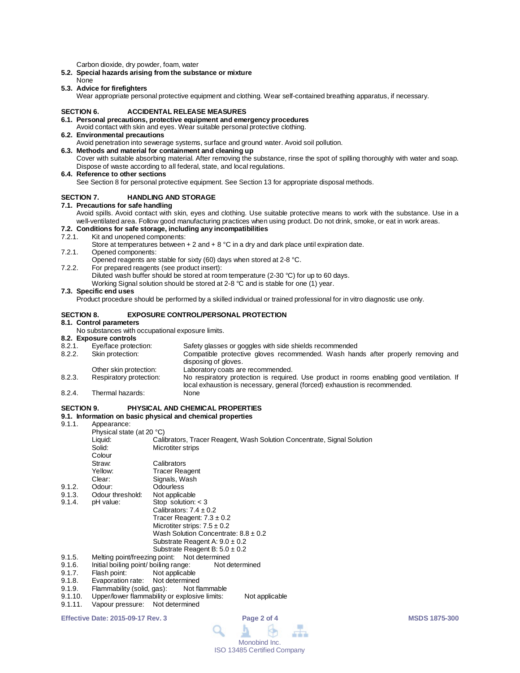Carbon dioxide, dry powder, foam, water

- **5.2. Special hazards arising from the substance or mixture**
- None
- **5.3. Advice for firefighters**

Wear appropriate personal protective equipment and clothing. Wear self-contained breathing apparatus, if necessary.

#### **SECTION 6. ACCIDENTAL RELEASE MEASURES**

- **6.1. Personal precautions, protective equipment and emergency procedures**
- Avoid contact with skin and eyes. Wear suitable personal protective clothing. **6.2. Environmental precautions**
- Avoid penetration into sewerage systems, surface and ground water. Avoid soil pollution. **6.3. Methods and material for containment and cleaning up**

Cover with suitable absorbing material. After removing the substance, rinse the spot of spilling thoroughly with water and soap. Dispose of waste according to all federal, state, and local regulations.

**6.4. Reference to other sections**

See Section 8 for personal protective equipment. See Section 13 for appropriate disposal methods.

#### **SECTION 7. HANDLING AND STORAGE**

**7.1. Precautions for safe handling**

Avoid spills. Avoid contact with skin, eyes and clothing. Use suitable protective means to work with the substance. Use in a well-ventilated area. Follow good manufacturing practices when using product. Do not drink, smoke, or eat in work areas.

## **7.2. Conditions for safe storage, including any incompatibilities**

Kit and unopened components:

Store at temperatures between  $+ 2$  and  $+ 8$  °C in a dry and dark place until expiration date.

7.2.1. Opened components:

Opened reagents are stable for sixty (60) days when stored at 2-8 °C.

7.2.2. For prepared reagents (see product insert):

Diluted wash buffer should be stored at room temperature (2-30 °C) for up to 60 days.

Working Signal solution should be stored at 2-8 °C and is stable for one (1) year.

#### **7.3. Specific end uses**

Product procedure should be performed by a skilled individual or trained professional for in vitro diagnostic use only.

#### **SECTION 8. EXPOSURE CONTROL/PERSONAL PROTECTION**

#### **8.1. Control parameters**

No substances with occupational exposure limits.

#### **8.2. Exposure controls**

| 8.2.1. | Eye/face protection:    | Safety glasses or goggles with side shields recommended                                                                                                                 |
|--------|-------------------------|-------------------------------------------------------------------------------------------------------------------------------------------------------------------------|
| 8.2.2. | Skin protection:        | Compatible protective gloves recommended. Wash hands after properly removing and<br>disposing of gloves.                                                                |
|        | Other skin protection:  | Laboratory coats are recommended.                                                                                                                                       |
| 8.2.3. | Respiratory protection: | No respiratory protection is required. Use product in rooms enabling good ventilation. If<br>local exhaustion is necessary, general (forced) exhaustion is recommended. |
| 8.2.4  | Thermal hazards:        | None                                                                                                                                                                    |

#### **SECTION 9. PHYSICAL AND CHEMICAL PROPERTIES**

- 
- **9.1. Information on basic physical and chemical properties** Appearance: Physical state (at 20 °C) Liquid: Calibrators, Tracer Reagent, Wash Solution Concentrate, Signal Solution<br>Solid: Microtiter strips **Microtiter strips** Colour<br>Straw: Straw: Calibrators<br>
Yellow: Tracer Rea Yellow: Tracer Reagent<br>Clear: Signals Wash Clear: Signals, Wash<br>
Odour: Odourless 9.1.2. Odour: Odourless<br>9.1.3. Odour threshold: Not applicable 9.1.3. Odour threshold:<br>9.1.4. pH value: Stop solution:  $<$  3 Calibrators:  $7.4 \pm 0.2$ Tracer Reagent:  $7.3 \pm 0.2$ Microtiter strips:  $7.5 \pm 0.2$ Wash Solution Concentrate: 8.8 ± 0.2 Substrate Reagent A:  $9.0 \pm 0.2$ Substrate Reagent B:  $5.0 \pm 0.2$ 9.1.5. Melting point/freezing point: Not determined<br>9.1.6. Initial boiling point/ boiling range: Not determined 9.1.6. Initial boiling point/ boiling range:<br>9.1.7. Elash point: Not applicable 9.1.7. Flash point:<br>9.1.8. Evaporation rate: Not determine 9.1.8. Evaporation rate: Not determined<br>9.1.9. Flammability (solid. gas): Not flammable 9.1.9. Flammability (solid, gas):<br>9.1.10. Upper/lower flammability of 9.1.10. Upper/lower flammability or explosive limits: Not applicable<br>9.1.11. Vapour pressure: Not determined
- Vapour pressure: Not determined

**Effective Date: 2015-09-17 Rev. 3 Page 2 of 4 MSDS 1875-300**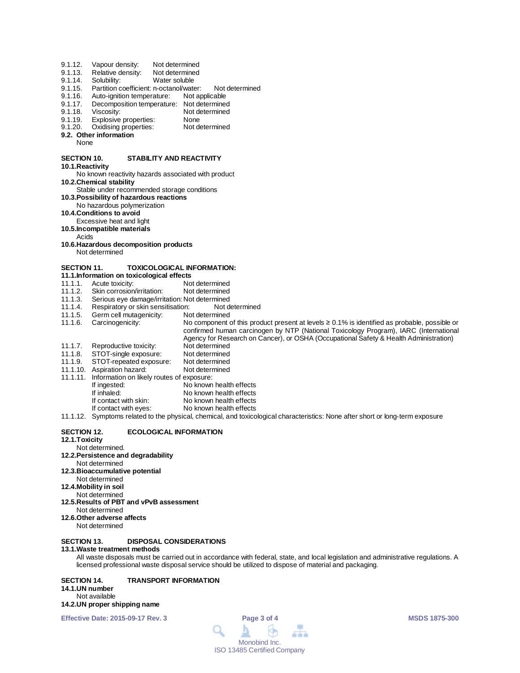| 9.1.12.<br>9.1.13.<br>9.1.14.<br>9.1.15.<br>9.1.16.<br>9.1.17.<br>9.1.18.<br>9.1.19.<br>9.1.20.<br>None | Vapour density:<br>Relative density:<br>Solubility:<br>Partition coefficient: n-octanol/water:<br>Auto-ignition temperature:<br>Viscosity:<br>Explosive properties:<br>Oxidising properties:<br>9.2. Other information | Not determined<br>Not determined<br>Water soluble<br>Not determined<br>Not applicable<br>Decomposition temperature: Not determined<br>Not determined<br>None<br>Not determined |  |  |  |  |  |  |  |
|---------------------------------------------------------------------------------------------------------|------------------------------------------------------------------------------------------------------------------------------------------------------------------------------------------------------------------------|--------------------------------------------------------------------------------------------------------------------------------------------------------------------------------|--|--|--|--|--|--|--|
| <b>SECTION 10.</b>                                                                                      |                                                                                                                                                                                                                        | <b>STABILITY AND REACTIVITY</b>                                                                                                                                                |  |  |  |  |  |  |  |
| 10.1. Reactivity                                                                                        |                                                                                                                                                                                                                        |                                                                                                                                                                                |  |  |  |  |  |  |  |
| No known reactivity hazards associated with product<br>10.2. Chemical stability                         |                                                                                                                                                                                                                        |                                                                                                                                                                                |  |  |  |  |  |  |  |
|                                                                                                         | Stable under recommended storage conditions                                                                                                                                                                            |                                                                                                                                                                                |  |  |  |  |  |  |  |
|                                                                                                         | 10.3. Possibility of hazardous reactions<br>No hazardous polymerization                                                                                                                                                |                                                                                                                                                                                |  |  |  |  |  |  |  |
|                                                                                                         | 10.4. Conditions to avoid                                                                                                                                                                                              |                                                                                                                                                                                |  |  |  |  |  |  |  |
|                                                                                                         | Excessive heat and light                                                                                                                                                                                               |                                                                                                                                                                                |  |  |  |  |  |  |  |
| Acids                                                                                                   | 10.5. Incompatible materials                                                                                                                                                                                           |                                                                                                                                                                                |  |  |  |  |  |  |  |
|                                                                                                         | 10.6. Hazardous decomposition products                                                                                                                                                                                 |                                                                                                                                                                                |  |  |  |  |  |  |  |
|                                                                                                         | Not determined                                                                                                                                                                                                         |                                                                                                                                                                                |  |  |  |  |  |  |  |
| <b>SECTION 11.</b>                                                                                      |                                                                                                                                                                                                                        | <b>TOXICOLOGICAL INFORMATION:</b>                                                                                                                                              |  |  |  |  |  |  |  |
|                                                                                                         | 11.1. Information on toxicological effects                                                                                                                                                                             |                                                                                                                                                                                |  |  |  |  |  |  |  |
| 11.1.1.                                                                                                 | Acute toxicity:                                                                                                                                                                                                        | Not determined                                                                                                                                                                 |  |  |  |  |  |  |  |
| 11.1.2.                                                                                                 | Skin corrosion/irritation:                                                                                                                                                                                             | Not determined                                                                                                                                                                 |  |  |  |  |  |  |  |
| 11.1.3.<br>11.1.4.                                                                                      | Respiratory or skin sensitisation:                                                                                                                                                                                     | Serious eye damage/irritation: Not determined<br>Not determined                                                                                                                |  |  |  |  |  |  |  |
| 11.1.5.                                                                                                 | Germ cell mutagenicity:                                                                                                                                                                                                | Not determined                                                                                                                                                                 |  |  |  |  |  |  |  |
| 11.1.6.                                                                                                 | Carcinogenicity:                                                                                                                                                                                                       | No component of this product present at levels $\geq 0.1\%$ is identified as probable, possible or                                                                             |  |  |  |  |  |  |  |
|                                                                                                         |                                                                                                                                                                                                                        | confirmed human carcinogen by NTP (National Toxicology Program), IARC (International                                                                                           |  |  |  |  |  |  |  |
|                                                                                                         |                                                                                                                                                                                                                        | Agency for Research on Cancer), or OSHA (Occupational Safety & Health Administration)                                                                                          |  |  |  |  |  |  |  |
| 11.1.7.                                                                                                 | Reproductive toxicity:                                                                                                                                                                                                 | Not determined                                                                                                                                                                 |  |  |  |  |  |  |  |
| 11.1.8.<br>11.1.9.                                                                                      | STOT-single exposure:<br>STOT-repeated exposure:                                                                                                                                                                       | Not determined<br>Not determined                                                                                                                                               |  |  |  |  |  |  |  |
|                                                                                                         | 11.1.10. Aspiration hazard:                                                                                                                                                                                            | Not determined                                                                                                                                                                 |  |  |  |  |  |  |  |
| 11.1.11.                                                                                                | Information on likely routes of exposure:                                                                                                                                                                              |                                                                                                                                                                                |  |  |  |  |  |  |  |
|                                                                                                         | If ingested:                                                                                                                                                                                                           | No known health effects                                                                                                                                                        |  |  |  |  |  |  |  |
|                                                                                                         | If inhaled:                                                                                                                                                                                                            | No known health effects                                                                                                                                                        |  |  |  |  |  |  |  |
|                                                                                                         | If contact with skin:                                                                                                                                                                                                  | No known health effects                                                                                                                                                        |  |  |  |  |  |  |  |
|                                                                                                         | If contact with eyes:                                                                                                                                                                                                  | No known health effects                                                                                                                                                        |  |  |  |  |  |  |  |
|                                                                                                         |                                                                                                                                                                                                                        | 11.1.12. Symptoms related to the physical, chemical, and toxicological characteristics: None after short or long-term exposure                                                 |  |  |  |  |  |  |  |
| <b>SECTION 12.</b>                                                                                      |                                                                                                                                                                                                                        | <b>ECOLOGICAL INFORMATION</b>                                                                                                                                                  |  |  |  |  |  |  |  |

#### **12.1.Toxicity**

## Not determined.

**12.2.Persistence and degradability**

#### Not determined **12.3.Bioaccumulative potential**

- Not determined
- **12.4.Mobility in soil**
- Not determined
- **12.5.Results of PBT and vPvB assessment** Not determined
- **12.6.Other adverse affects**
- Not determined

## **SECTION 13. DISPOSAL CONSIDERATIONS**

#### **13.1.Waste treatment methods**

All waste disposals must be carried out in accordance with federal, state, and local legislation and administrative regulations. A licensed professional waste disposal service should be utilized to dispose of material and packaging.

**SECTION 14. TRANSPORT INFORMATION 14.1.UN number** Not available **14.2.UN proper shipping name**